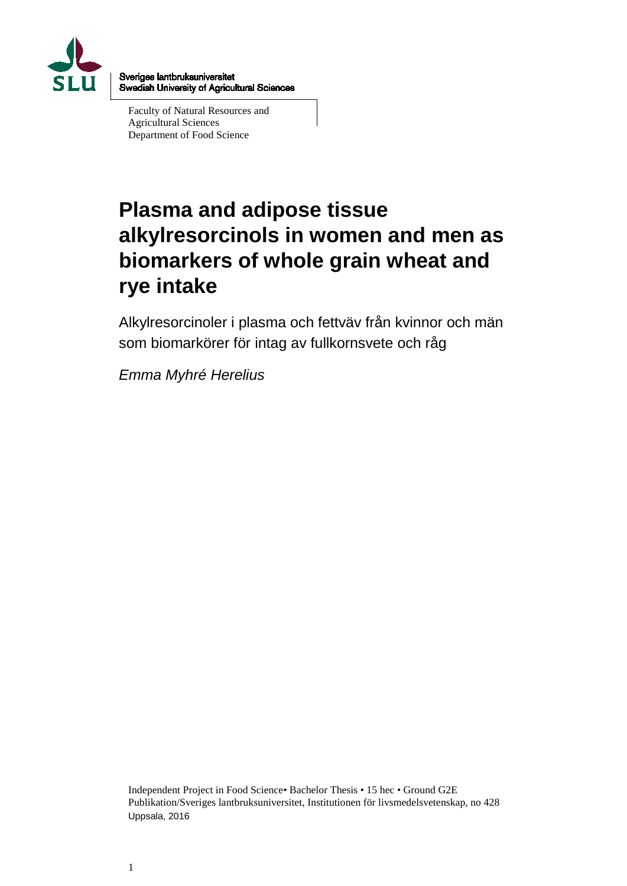

Sveriges lantbruksuniversitet Swedish University of Agricultural Sciences

Faculty of Natural Resources and Agricultural Sciences Department of Food Science

# **Plasma and adipose tissue alkylresorcinols in women and men as biomarkers of whole grain wheat and rye intake**

Alkylresorcinoler i plasma och fettväv från kvinnor och män som biomarkörer för intag av fullkornsvete och råg

*Emma Myhré Herelius*

Independent Project in Food Science• Bachelor Thesis • 15 hec • Ground G2E Publikation/Sveriges lantbruksuniversitet, Institutionen för livsmedelsvetenskap, no 428 Uppsala, 2016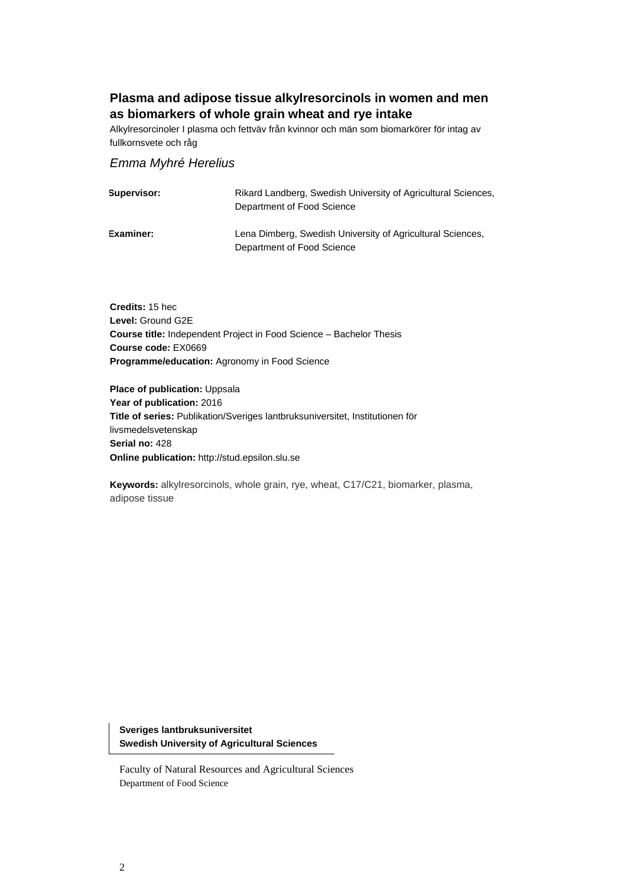### **Plasma and adipose tissue alkylresorcinols in women and men as biomarkers of whole grain wheat and rye intake**

Alkylresorcinoler I plasma och fettväv från kvinnor och män som biomarkörer för intag av fullkornsvete och råg

#### *Emma Myhré Herelius*

| Supervisor:      | Rikard Landberg, Swedish University of Agricultural Sciences,<br>Department of Food Science |
|------------------|---------------------------------------------------------------------------------------------|
| <b>Examiner:</b> | Lena Dimberg, Swedish University of Agricultural Sciences,<br>Department of Food Science    |

**Credits:** 15 hec **Level:** Ground G2E **Course title:** Independent Project in Food Science – Bachelor Thesis **Course code:** EX0669 **Programme/education:** Agronomy in Food Science

**Place of publication:** Uppsala **Year of publication:** 2016 **Title of series:** Publikation/Sveriges lantbruksuniversitet, Institutionen för livsmedelsvetenskap **Serial no:** 428 **Online publication:** http://stud.epsilon.slu.se

**Keywords:** alkylresorcinols, whole grain, rye, wheat, C17/C21, biomarker, plasma, adipose tissue

**Sveriges lantbruksuniversitet Swedish University of Agricultural Sciences**

Faculty of Natural Resources and Agricultural Sciences Department of Food Science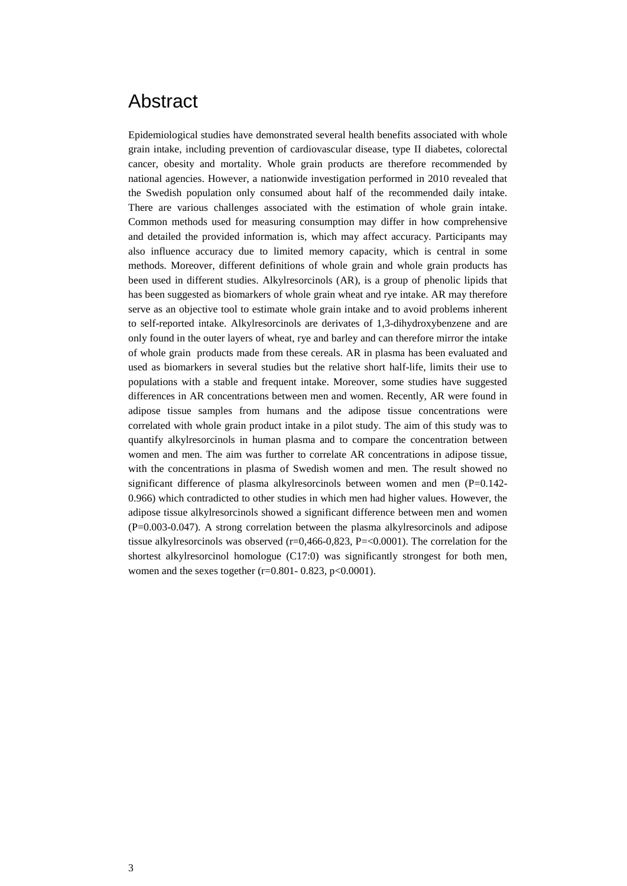### <span id="page-2-0"></span>Abstract

Epidemiological studies have demonstrated several health benefits associated with whole grain intake, including prevention of cardiovascular disease, type II diabetes, colorectal cancer, obesity and mortality. Whole grain products are therefore recommended by national agencies. However, a nationwide investigation performed in 2010 revealed that the Swedish population only consumed about half of the recommended daily intake. There are various challenges associated with the estimation of whole grain intake. Common methods used for measuring consumption may differ in how comprehensive and detailed the provided information is, which may affect accuracy. Participants may also influence accuracy due to limited memory capacity, which is central in some methods. Moreover, different definitions of whole grain and whole grain products has been used in different studies. Alkylresorcinols (AR), is a group of phenolic lipids that has been suggested as biomarkers of whole grain wheat and rye intake. AR may therefore serve as an objective tool to estimate whole grain intake and to avoid problems inherent to self-reported intake. Alkylresorcinols are derivates of 1,3-dihydroxybenzene and are only found in the outer layers of wheat, rye and barley and can therefore mirror the intake of whole grain products made from these cereals. AR in plasma has been evaluated and used as biomarkers in several studies but the relative short half-life, limits their use to populations with a stable and frequent intake. Moreover, some studies have suggested differences in AR concentrations between men and women. Recently, AR were found in adipose tissue samples from humans and the adipose tissue concentrations were correlated with whole grain product intake in a pilot study. The aim of this study was to quantify alkylresorcinols in human plasma and to compare the concentration between women and men. The aim was further to correlate AR concentrations in adipose tissue, with the concentrations in plasma of Swedish women and men. The result showed no significant difference of plasma alkylresorcinols between women and men  $(P=0.142-$ 0.966) which contradicted to other studies in which men had higher values. However, the adipose tissue alkylresorcinols showed a significant difference between men and women (P=0.003-0.047). A strong correlation between the plasma alkylresorcinols and adipose tissue alkylresorcinols was observed  $(r=0,466-0,823, P=<0.0001)$ . The correlation for the shortest alkylresorcinol homologue (C17:0) was significantly strongest for both men, women and the sexes together ( $r=0.801 - 0.823$ ,  $p<0.0001$ ).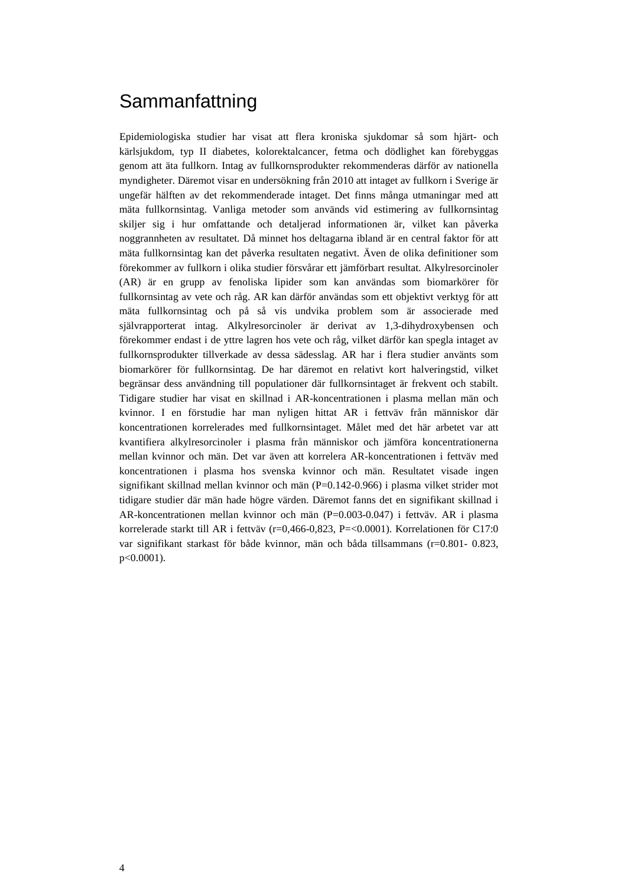### <span id="page-3-0"></span>**Sammanfattning**

Epidemiologiska studier har visat att flera kroniska sjukdomar så som hjärt- och kärlsjukdom, typ II diabetes, kolorektalcancer, fetma och dödlighet kan förebyggas genom att äta fullkorn. Intag av fullkornsprodukter rekommenderas därför av nationella myndigheter. Däremot visar en undersökning från 2010 att intaget av fullkorn i Sverige är ungefär hälften av det rekommenderade intaget. Det finns många utmaningar med att mäta fullkornsintag. Vanliga metoder som används vid estimering av fullkornsintag skiljer sig i hur omfattande och detaljerad informationen är, vilket kan påverka noggrannheten av resultatet. Då minnet hos deltagarna ibland är en central faktor för att mäta fullkornsintag kan det påverka resultaten negativt. Även de olika definitioner som förekommer av fullkorn i olika studier försvårar ett jämförbart resultat. Alkylresorcinoler (AR) är en grupp av fenoliska lipider som kan användas som biomarkörer för fullkornsintag av vete och råg. AR kan därför användas som ett objektivt verktyg för att mäta fullkornsintag och på så vis undvika problem som är associerade med självrapporterat intag. Alkylresorcinoler är derivat av 1,3-dihydroxybensen och förekommer endast i de yttre lagren hos vete och råg, vilket därför kan spegla intaget av fullkornsprodukter tillverkade av dessa sädesslag. AR har i flera studier använts som biomarkörer för fullkornsintag. De har däremot en relativt kort halveringstid, vilket begränsar dess användning till populationer där fullkornsintaget är frekvent och stabilt. Tidigare studier har visat en skillnad i AR-koncentrationen i plasma mellan män och kvinnor. I en förstudie har man nyligen hittat AR i fettväv från människor där koncentrationen korrelerades med fullkornsintaget. Målet med det här arbetet var att kvantifiera alkylresorcinoler i plasma från människor och jämföra koncentrationerna mellan kvinnor och män. Det var även att korrelera AR-koncentrationen i fettväv med koncentrationen i plasma hos svenska kvinnor och män. Resultatet visade ingen signifikant skillnad mellan kvinnor och män (P=0.142-0.966) i plasma vilket strider mot tidigare studier där män hade högre värden. Däremot fanns det en signifikant skillnad i AR-koncentrationen mellan kvinnor och män (P=0.003-0.047) i fettväv. AR i plasma korrelerade starkt till AR i fettväv (r=0,466-0,823, P=<0.0001). Korrelationen för C17:0 var signifikant starkast för både kvinnor, män och båda tillsammans (r=0.801- 0.823, p<0.0001).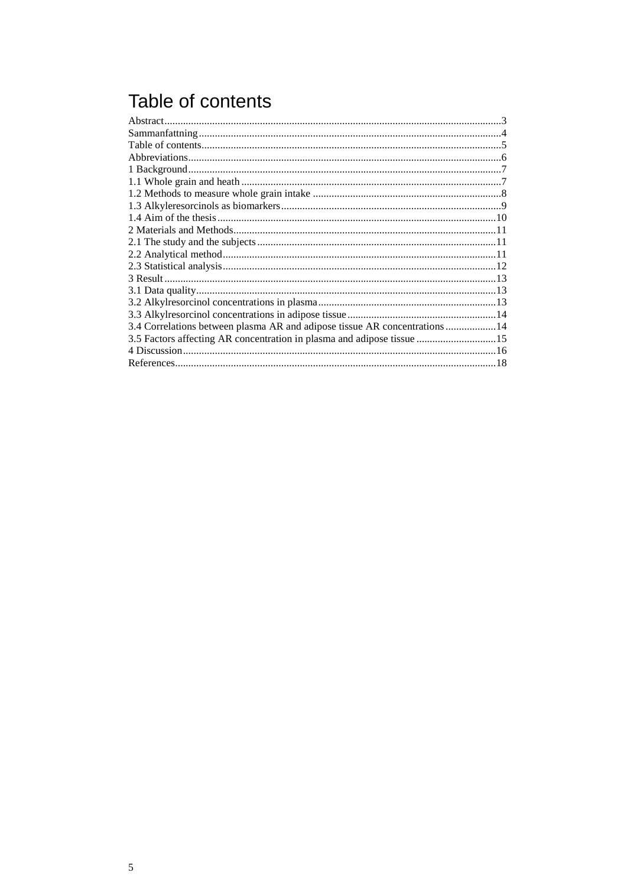## <span id="page-4-0"></span>Table of contents

| 3.4 Correlations between plasma AR and adipose tissue AR concentrations 14 |  |
|----------------------------------------------------------------------------|--|
| 3.5 Factors affecting AR concentration in plasma and adipose tissue 15     |  |
|                                                                            |  |
|                                                                            |  |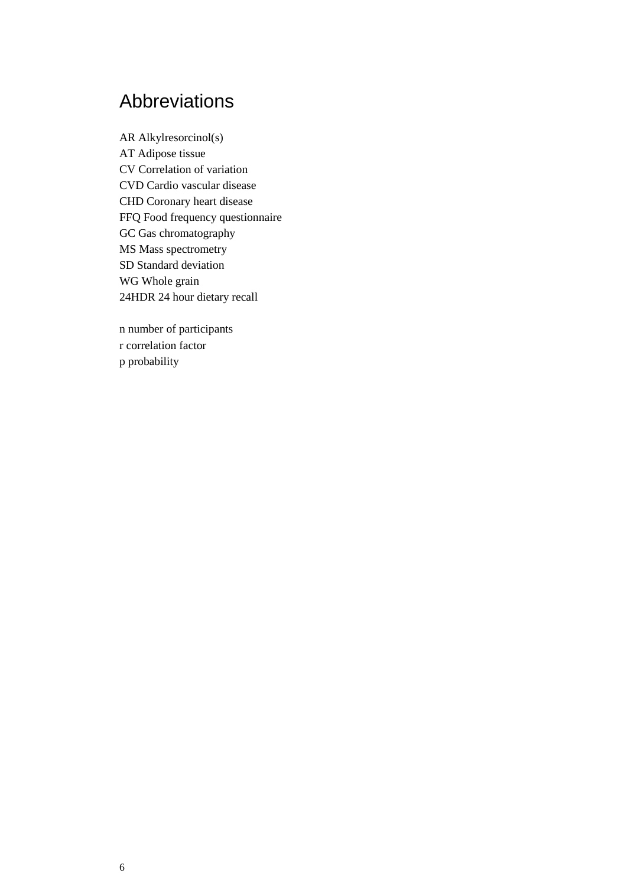### <span id="page-5-0"></span>Abbreviations

AR Alkylresorcinol(s) AT Adipose tissue CV Correlation of variation CVD Cardio vascular disease CHD Coronary heart disease FFQ Food frequency questionnaire GC Gas chromatography MS Mass spectrometry SD Standard deviation WG Whole grain 24HDR 24 hour dietary recall

n number of participants r correlation factor p probability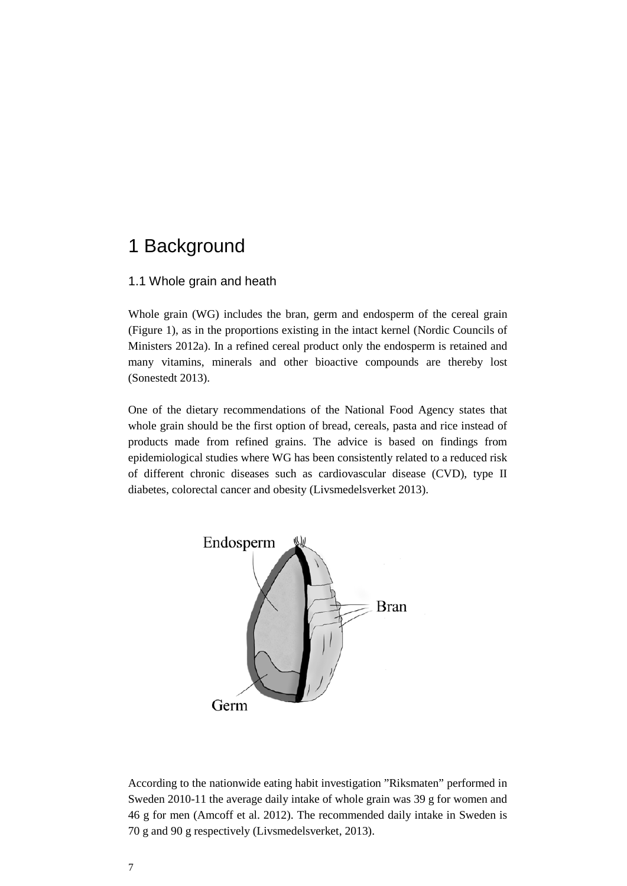### <span id="page-6-0"></span>1 Background

### <span id="page-6-1"></span>1.1 Whole grain and heath

Whole grain (WG) includes the bran, germ and endosperm of the cereal grain (Figure 1), as in the proportions existing in the intact kernel (Nordic Councils of Ministers 2012a). In a refined cereal product only the endosperm is retained and many vitamins, minerals and other bioactive compounds are thereby lost (Sonestedt 2013).

One of the dietary recommendations of the National Food Agency states that whole grain should be the first option of bread, cereals, pasta and rice instead of products made from refined grains. The advice is based on findings from epidemiological studies where WG has been consistently related to a reduced risk of different chronic diseases such as cardiovascular disease (CVD), type II diabetes, colorectal cancer and obesity (Livsmedelsverket 2013).



According to the nationwide eating habit investigation "Riksmaten" performed in Sweden 2010-11 the average daily intake of whole grain was 39 g for women and 46 g for men (Amcoff et al. 2012). The recommended daily intake in Sweden is 70 g and 90 g respectively (Livsmedelsverket, 2013).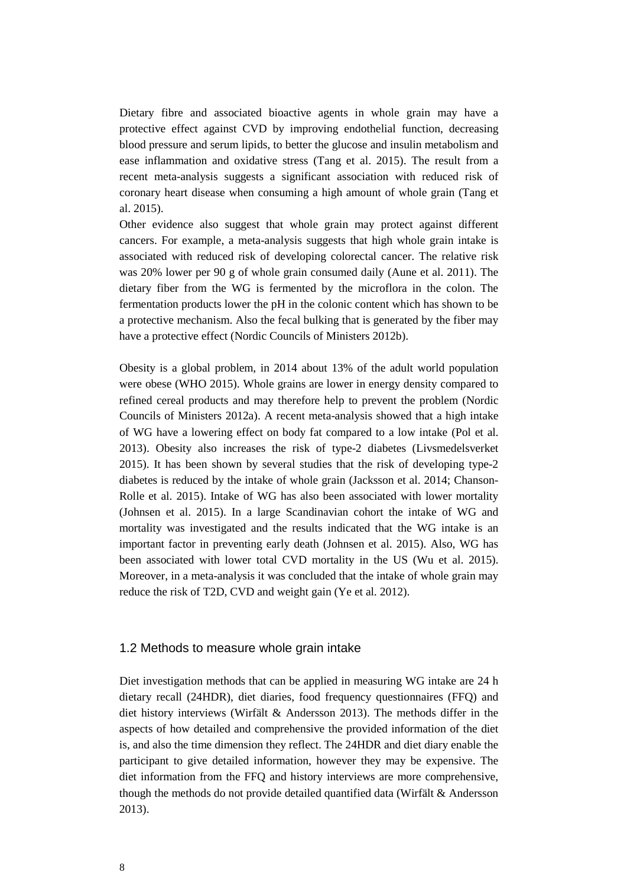Dietary fibre and associated bioactive agents in whole grain may have a protective effect against CVD by improving endothelial function, decreasing blood pressure and serum lipids, to better the glucose and insulin metabolism and ease inflammation and oxidative stress (Tang et al. 2015). The result from a recent meta-analysis suggests a significant association with reduced risk of coronary heart disease when consuming a high amount of whole grain (Tang et al. 2015).

Other evidence also suggest that whole grain may protect against different cancers. For example, a meta-analysis suggests that high whole grain intake is associated with reduced risk of developing colorectal cancer. The relative risk was 20% lower per 90 g of whole grain consumed daily (Aune et al. 2011). The dietary fiber from the WG is fermented by the microflora in the colon. The fermentation products lower the pH in the colonic content which has shown to be a protective mechanism. Also the fecal bulking that is generated by the fiber may have a protective effect (Nordic Councils of Ministers 2012b).

Obesity is a global problem, in 2014 about 13% of the adult world population were obese (WHO 2015). Whole grains are lower in energy density compared to refined cereal products and may therefore help to prevent the problem (Nordic Councils of Ministers 2012a). A recent meta-analysis showed that a high intake of WG have a lowering effect on body fat compared to a low intake (Pol et al. 2013). Obesity also increases the risk of type-2 diabetes (Livsmedelsverket 2015). It has been shown by several studies that the risk of developing type-2 diabetes is reduced by the intake of whole grain (Jacksson et al. 2014; Chanson-Rolle et al. 2015). Intake of WG has also been associated with lower mortality (Johnsen et al. 2015). In a large Scandinavian cohort the intake of WG and mortality was investigated and the results indicated that the WG intake is an important factor in preventing early death (Johnsen et al. 2015). Also, WG has been associated with lower total CVD mortality in the US (Wu et al. 2015). Moreover, in a meta-analysis it was concluded that the intake of whole grain may reduce the risk of T2D, CVD and weight gain (Ye et al. 2012).

#### <span id="page-7-0"></span>1.2 Methods to measure whole grain intake

Diet investigation methods that can be applied in measuring WG intake are 24 h dietary recall (24HDR), diet diaries, food frequency questionnaires (FFQ) and diet history interviews (Wirfält & Andersson 2013). The methods differ in the aspects of how detailed and comprehensive the provided information of the diet is, and also the time dimension they reflect. The 24HDR and diet diary enable the participant to give detailed information, however they may be expensive. The diet information from the FFQ and history interviews are more comprehensive, though the methods do not provide detailed quantified data (Wirfält & Andersson 2013).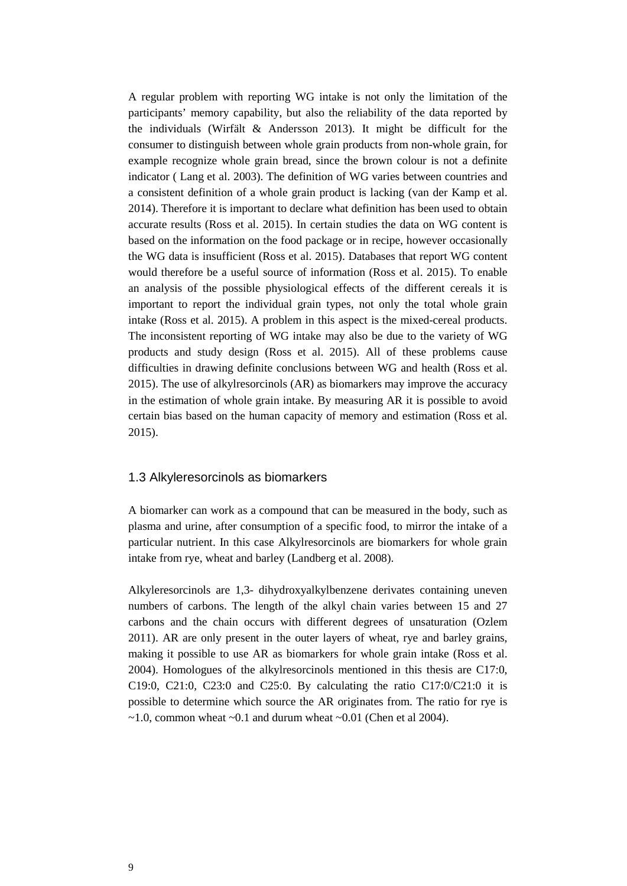A regular problem with reporting WG intake is not only the limitation of the participants' memory capability, but also the reliability of the data reported by the individuals (Wirfält & Andersson 2013). It might be difficult for the consumer to distinguish between whole grain products from non-whole grain, for example recognize whole grain bread, since the brown colour is not a definite indicator ( Lang et al. 2003). The definition of WG varies between countries and a consistent definition of a whole grain product is lacking (van der Kamp et al. 2014). Therefore it is important to declare what definition has been used to obtain accurate results (Ross et al. 2015). In certain studies the data on WG content is based on the information on the food package or in recipe, however occasionally the WG data is insufficient (Ross et al. 2015). Databases that report WG content would therefore be a useful source of information (Ross et al. 2015). To enable an analysis of the possible physiological effects of the different cereals it is important to report the individual grain types, not only the total whole grain intake (Ross et al. 2015). A problem in this aspect is the mixed-cereal products. The inconsistent reporting of WG intake may also be due to the variety of WG products and study design (Ross et al. 2015). All of these problems cause difficulties in drawing definite conclusions between WG and health (Ross et al. 2015). The use of alkylresorcinols (AR) as biomarkers may improve the accuracy in the estimation of whole grain intake. By measuring AR it is possible to avoid certain bias based on the human capacity of memory and estimation (Ross et al. 2015).

#### <span id="page-8-0"></span>1.3 Alkyleresorcinols as biomarkers

A biomarker can work as a compound that can be measured in the body, such as plasma and urine, after consumption of a specific food, to mirror the intake of a particular nutrient. In this case Alkylresorcinols are biomarkers for whole grain intake from rye, wheat and barley (Landberg et al. 2008).

Alkyleresorcinols are 1,3- dihydroxyalkylbenzene derivates containing uneven numbers of carbons. The length of the alkyl chain varies between 15 and 27 carbons and the chain occurs with different degrees of unsaturation (Ozlem 2011). AR are only present in the outer layers of wheat, rye and barley grains, making it possible to use AR as biomarkers for whole grain intake (Ross et al. 2004). Homologues of the alkylresorcinols mentioned in this thesis are C17:0, C19:0, C21:0, C23:0 and C25:0. By calculating the ratio C17:0/C21:0 it is possible to determine which source the AR originates from. The ratio for rye is  $\sim$ 1.0, common wheat  $\sim$ 0.1 and durum wheat  $\sim$ 0.01 (Chen et al 2004).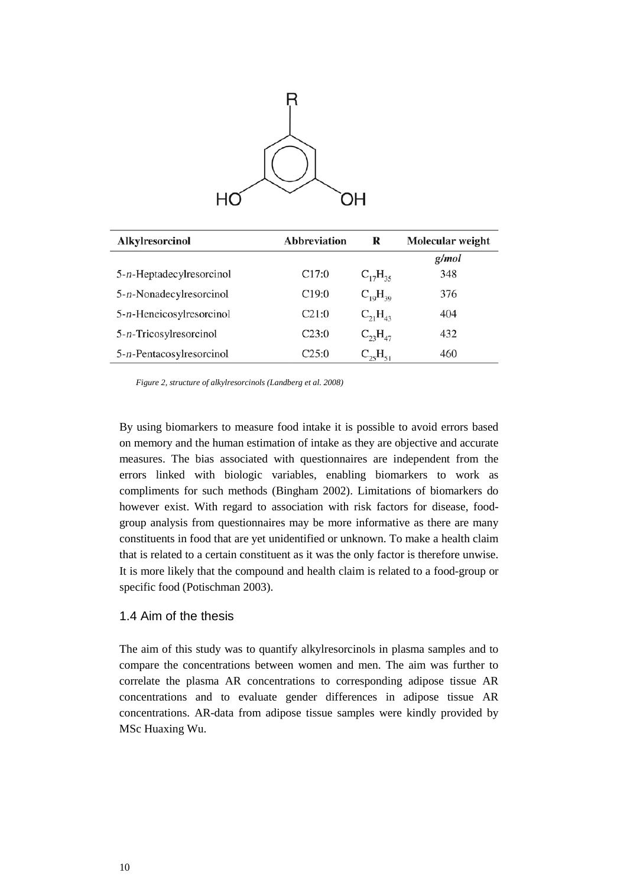

| Alkylresorcinol           | <b>Abbreviation</b> | R              | Molecular weight |
|---------------------------|---------------------|----------------|------------------|
|                           |                     |                | g/mol            |
| 5-n-Heptadecylresorcinol  | C17:0               | $C_{17}H_{35}$ | 348              |
| 5-n-Nonadecylresorcinol   | C19:0               | $C_{10}H_{30}$ | 376              |
| 5-n-Heneicosylresorcinol  | C21:0               | $C_{21}H_{43}$ | 404              |
| $5-n$ -Tricosylresorcinol | C23:0               | $C_{23}H_{47}$ | 432              |
| 5-n-Pentacosylresorcinol  | C25:0               | $C_{25}H_{51}$ | 460              |

*Figure 2, structure of alkylresorcinols (Landberg et al. 2008)*

By using biomarkers to measure food intake it is possible to avoid errors based on memory and the human estimation of intake as they are objective and accurate measures. The bias associated with questionnaires are independent from the errors linked with biologic variables, enabling biomarkers to work as compliments for such methods (Bingham 2002). Limitations of biomarkers do however exist. With regard to association with risk factors for disease, foodgroup analysis from questionnaires may be more informative as there are many constituents in food that are yet unidentified or unknown. To make a health claim that is related to a certain constituent as it was the only factor is therefore unwise. It is more likely that the compound and health claim is related to a food-group or specific food (Potischman 2003).

### <span id="page-9-0"></span>1.4 Aim of the thesis

The aim of this study was to quantify alkylresorcinols in plasma samples and to compare the concentrations between women and men. The aim was further to correlate the plasma AR concentrations to corresponding adipose tissue AR concentrations and to evaluate gender differences in adipose tissue AR concentrations. AR-data from adipose tissue samples were kindly provided by MSc Huaxing Wu.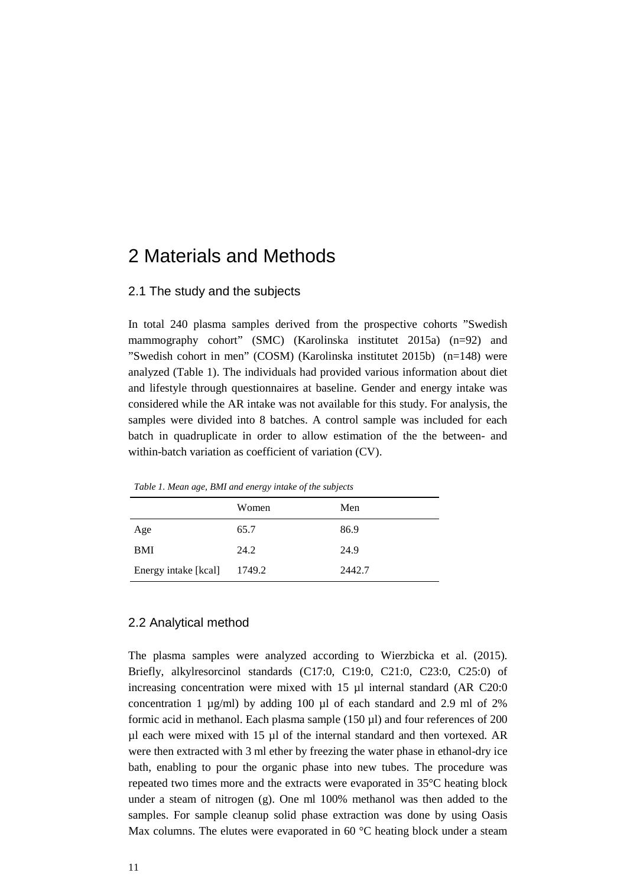### <span id="page-10-0"></span>2 Materials and Methods

#### <span id="page-10-1"></span>2.1 The study and the subjects

In total 240 plasma samples derived from the prospective cohorts "Swedish mammography cohort" (SMC) (Karolinska institutet 2015a) (n=92) and "Swedish cohort in men" (COSM) (Karolinska institutet 2015b) (n=148) were analyzed (Table 1). The individuals had provided various information about diet and lifestyle through questionnaires at baseline. Gender and energy intake was considered while the AR intake was not available for this study. For analysis, the samples were divided into 8 batches. A control sample was included for each batch in quadruplicate in order to allow estimation of the the between- and within-batch variation as coefficient of variation (CV).

*Table 1. Mean age, BMI and energy intake of the subjects*

|                      | Women  | Men    |
|----------------------|--------|--------|
| Age                  | 65.7   | 86.9   |
| <b>BMI</b>           | 24.2   | 24.9   |
| Energy intake [kcal] | 1749.2 | 2442.7 |

#### <span id="page-10-2"></span>2.2 Analytical method

The plasma samples were analyzed according to Wierzbicka et al. (2015). Briefly, alkylresorcinol standards (C17:0, C19:0, C21:0, C23:0, C25:0) of increasing concentration were mixed with  $15 \mu l$  internal standard (AR C20:0) concentration 1  $\mu$ g/ml) by adding 100  $\mu$ l of each standard and 2.9 ml of 2% formic acid in methanol. Each plasma sample (150 µl) and four references of 200 µl each were mixed with 15 µl of the internal standard and then vortexed. AR were then extracted with 3 ml ether by freezing the water phase in ethanol-dry ice bath, enabling to pour the organic phase into new tubes. The procedure was repeated two times more and the extracts were evaporated in 35°C heating block under a steam of nitrogen (g). One ml 100% methanol was then added to the samples. For sample cleanup solid phase extraction was done by using Oasis Max columns. The elutes were evaporated in 60 °C heating block under a steam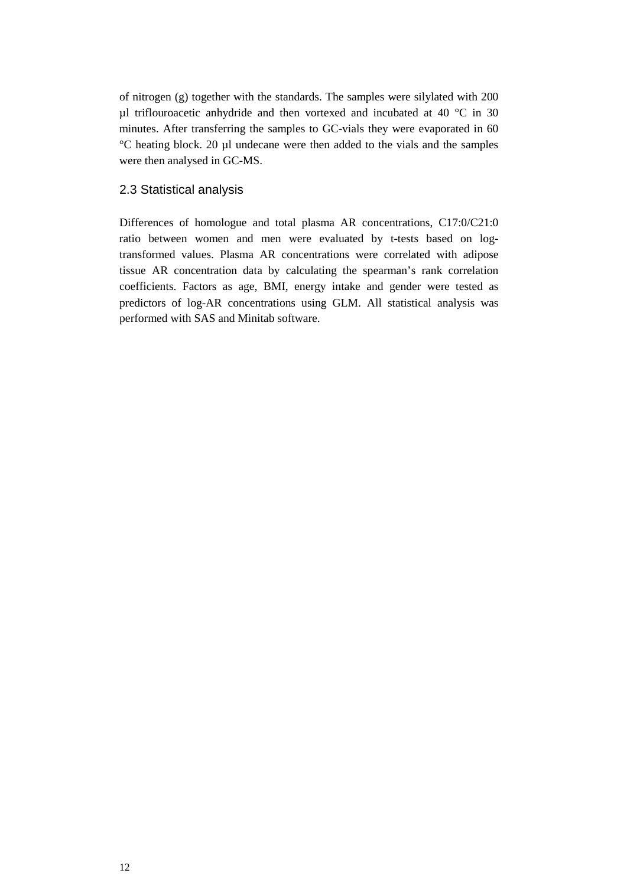of nitrogen (g) together with the standards. The samples were silylated with 200 µl triflouroacetic anhydride and then vortexed and incubated at 40 °C in 30 minutes. After transferring the samples to GC-vials they were evaporated in 60 °C heating block. 20 µl undecane were then added to the vials and the samples were then analysed in GC-MS.

### <span id="page-11-0"></span>2.3 Statistical analysis

Differences of homologue and total plasma AR concentrations, C17:0/C21:0 ratio between women and men were evaluated by t-tests based on logtransformed values. Plasma AR concentrations were correlated with adipose tissue AR concentration data by calculating the spearman's rank correlation coefficients. Factors as age, BMI, energy intake and gender were tested as predictors of log-AR concentrations using GLM. All statistical analysis was performed with SAS and Minitab software.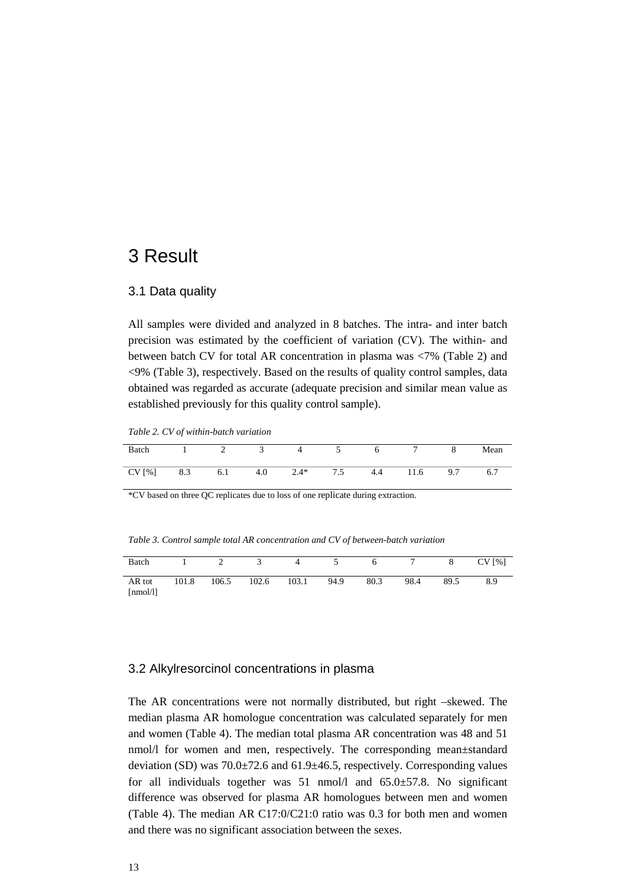### <span id="page-12-0"></span>3 Result

#### <span id="page-12-1"></span>3.1 Data quality

All samples were divided and analyzed in 8 batches. The intra- and inter batch precision was estimated by the coefficient of variation (CV). The within- and between batch CV for total AR concentration in plasma was <7% (Table 2) and <9% (Table 3), respectively. Based on the results of quality control samples, data obtained was regarded as accurate (adequate precision and similar mean value as established previously for this quality control sample).

*Table 2. CV of within-batch variation*

| Batch |     | ∸   |     |        |     |     |      |     | Mean |
|-------|-----|-----|-----|--------|-----|-----|------|-----|------|
| CV[%] | 8.3 | 6.1 | 4.0 | $2.4*$ | 7.5 | 4.4 | 11.6 | 9.7 | 6.7  |

\*CV based on three QC replicates due to loss of one replicate during extraction.

*Table 3. Control sample total AR concentration and CV of between-batch variation*

| Batch                                   |       | $\overline{2}$ | 3     | 4     |      | 6    |      | 8    | CV[%] |
|-----------------------------------------|-------|----------------|-------|-------|------|------|------|------|-------|
| AR tot<br>$\lceil \text{nmol/l} \rceil$ | 101.8 | 106.5          | 102.6 | 103.1 | 94.9 | 80.3 | 98.4 | 89.5 | 8.9   |

#### <span id="page-12-2"></span>3.2 Alkylresorcinol concentrations in plasma

The AR concentrations were not normally distributed, but right –skewed. The median plasma AR homologue concentration was calculated separately for men and women (Table 4). The median total plasma AR concentration was 48 and 51 nmol/l for women and men, respectively. The corresponding mean±standard deviation (SD) was 70.0±72.6 and 61.9±46.5, respectively. Corresponding values for all individuals together was  $51 \text{ nmol/l}$  and  $65.0 \pm 57.8$ . No significant difference was observed for plasma AR homologues between men and women (Table 4). The median AR C17:0/C21:0 ratio was 0.3 for both men and women and there was no significant association between the sexes.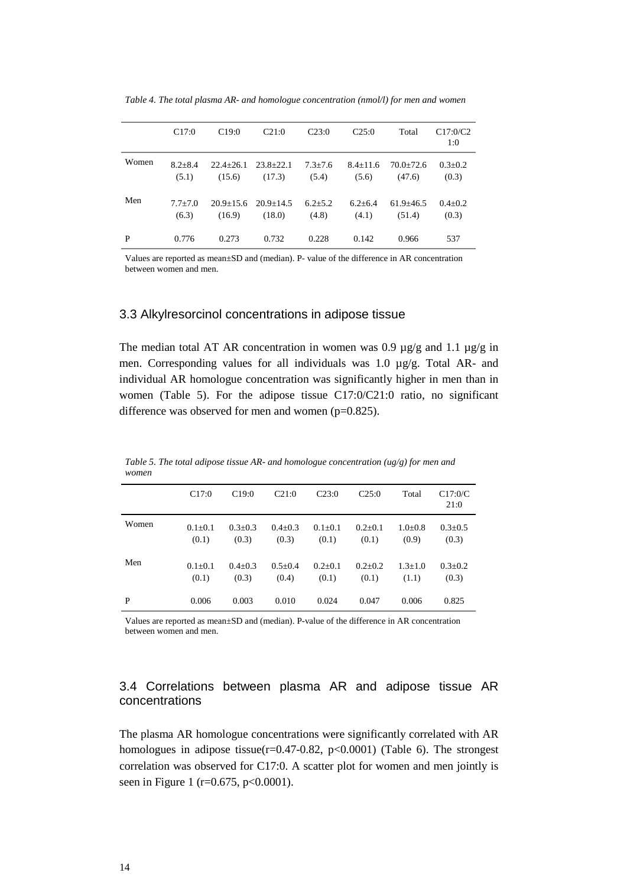|       | C17:0                  | C19:0                   | C21:0                             | C23:0                | C25:0                 | Total                   | C17:0/C2<br>1:0      |
|-------|------------------------|-------------------------|-----------------------------------|----------------------|-----------------------|-------------------------|----------------------|
| Women | $8.2 \pm 8.4$<br>(5.1) | $22.4 + 26.1$<br>(15.6) | $23.8 + 22.1$<br>(17.3)           | $7.3 + 7.6$<br>(5.4) | $8.4 + 11.6$<br>(5.6) | $70.0+72.6$<br>(47.6)   | $0.3 + 0.2$<br>(0.3) |
| Men   | $7.7 + 7.0$<br>(6.3)   | (16.9)                  | $20.9+15.6$ $20.9+14.5$<br>(18.0) | $6.2 + 5.2$<br>(4.8) | $6.2 + 6.4$<br>(4.1)  | $61.9 + 46.5$<br>(51.4) | $0.4 + 0.2$<br>(0.3) |
| P     | 0.776                  | 0.273                   | 0.732                             | 0.228                | 0.142                 | 0.966                   | 537                  |

*Table 4. The total plasma AR- and homologue concentration (nmol/l) for men and women*

Values are reported as mean±SD and (median). P- value of the difference in AR concentration between women and men.

#### <span id="page-13-0"></span>3.3 Alkylresorcinol concentrations in adipose tissue

The median total AT AR concentration in women was 0.9  $\mu$ g/g and 1.1  $\mu$ g/g in men. Corresponding values for all individuals was 1.0 µg/g. Total AR- and individual AR homologue concentration was significantly higher in men than in women (Table 5). For the adipose tissue C17:0/C21:0 ratio, no significant difference was observed for men and women (p=0.825).

| ,,,,,,,,, |                        |                      |                        |                        |                        |                      |                        |
|-----------|------------------------|----------------------|------------------------|------------------------|------------------------|----------------------|------------------------|
|           | C17:0                  | C19:0                | C21:0                  | C23:0                  | C25:0                  | Total                | C17:0/C<br>21:0        |
| Women     | $0.1 \pm 0.1$<br>(0.1) | $0.3 + 0.3$<br>(0.3) | $0.4 \pm 0.3$<br>(0.3) | $0.1 \pm 0.1$<br>(0.1) | $0.2{\pm}0.1$<br>(0.1) | $1.0 + 0.8$<br>(0.9) | $0.3 \pm 0.5$<br>(0.3) |
| Men       | $0.1 + 0.1$<br>(0.1)   | $0.4 + 0.3$<br>(0.3) | $0.5 + 0.4$<br>(0.4)   | $0.2 + 0.1$<br>(0.1)   | $0.2 + 0.2$<br>(0.1)   | $1.3 + 1.0$<br>(1.1) | $0.3 \pm 0.2$<br>(0.3) |
| P         | 0.006                  | 0.003                | 0.010                  | 0.024                  | 0.047                  | 0.006                | 0.825                  |

*Table 5. The total adipose tissue AR- and homologue concentration (ug/g) for men and women*

Values are reported as mean±SD and (median). P-value of the difference in AR concentration between women and men.

### <span id="page-13-1"></span>3.4 Correlations between plasma AR and adipose tissue AR concentrations

The plasma AR homologue concentrations were significantly correlated with AR homologues in adipose tissue( $r=0.47-0.82$ ,  $p<0.0001$ ) (Table 6). The strongest correlation was observed for C17:0. A scatter plot for women and men jointly is seen in Figure 1 (r=0.675, p<0.0001).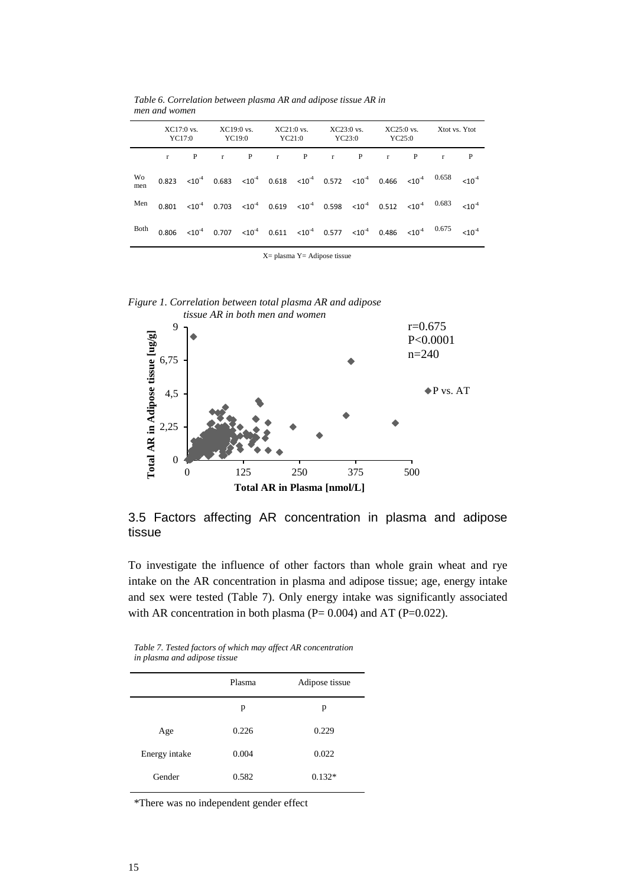|           | $XC17:0$ vs.<br>YC17:0 | $XC19:0$ vs. | YC19:0 | $XC21:0$ vs.<br>YC21:0                                                                                                                                                       | $XC23:0$ vs.<br>YC23:0 | YC25:0 |   | $XC25:0$ vs. $Xtot$ vs. Ytot |   |
|-----------|------------------------|--------------|--------|------------------------------------------------------------------------------------------------------------------------------------------------------------------------------|------------------------|--------|---|------------------------------|---|
|           | $\mathbf{P}$           | $r \sim$     | P      | $r \t P$                                                                                                                                                                     | $r \t P$               | r      | P | $\mathbf{r}$                 | P |
| Wo<br>men |                        |              |        | $0.823 \quad <\!\! 10^{\,4} \quad 0.683 \quad <\!\! 10^{\,4} \quad 0.618 \quad <\!\! 10^{\,4} \quad 0.572 \quad <\!\! 10^{\,4} \quad 0.466 \quad <\!\! 10^{\,4} \quad 0.658$ |                        |        |   |                              |   |
| Men       |                        |              |        | $0.801 \quad <10^4 \quad 0.703 \quad <10^4 \quad 0.619 \quad <10^4 \quad 0.598 \quad <10^4 \quad 0.512 \quad <10^4 \quad 0.683$                                              |                        |        |   |                              |   |
| Both      |                        |              |        | $0.806 \quad <\!\! 10^{4} \quad 0.707 \quad <\!\! 10^{4} \quad 0.611 \quad <\!\! 10^{4} \quad 0.577 \quad <\!\! 10^{4} \quad 0.486 \quad <\!\! 10^{4} \quad 0.675$           |                        |        |   |                              |   |

*Table 6. Correlation between plasma AR and adipose tissue AR in men and women*

X= plasma Y= Adipose tissue



*Figure 1. Correlation between total plasma AR and adipose* 

<span id="page-14-0"></span>3.5 Factors affecting AR concentration in plasma and adipose tissue

To investigate the influence of other factors than whole grain wheat and rye intake on the AR concentration in plasma and adipose tissue; age, energy intake and sex were tested (Table 7). Only energy intake was significantly associated with AR concentration in both plasma ( $P = 0.004$ ) and AT ( $P = 0.022$ ).

| Table 7. Tested factors of which may affect AR concentration |  |
|--------------------------------------------------------------|--|
| in plasma and adipose tissue                                 |  |

|               | Plasma | Adipose tissue |
|---------------|--------|----------------|
|               | p      | p              |
| Age           | 0.226  | 0.229          |
| Energy intake | 0.004  | 0.022          |
| Gender        | 0.582  | $0.132*$       |
|               |        |                |

\*There was no independent gender effect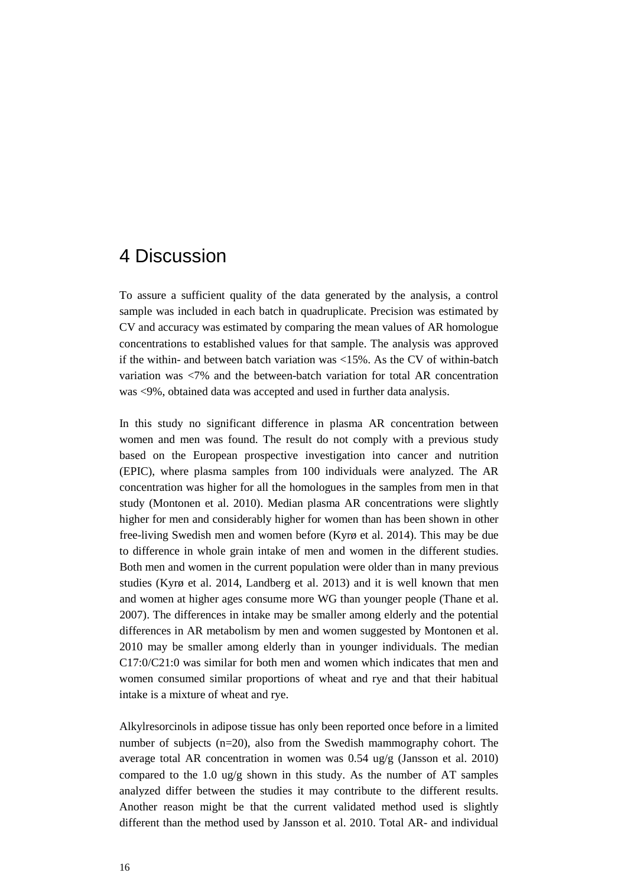### <span id="page-15-0"></span>4 Discussion

To assure a sufficient quality of the data generated by the analysis, a control sample was included in each batch in quadruplicate. Precision was estimated by CV and accuracy was estimated by comparing the mean values of AR homologue concentrations to established values for that sample. The analysis was approved if the within- and between batch variation was <15%. As the CV of within-batch variation was <7% and the between-batch variation for total AR concentration was <9%, obtained data was accepted and used in further data analysis.

In this study no significant difference in plasma AR concentration between women and men was found. The result do not comply with a previous study based on the European prospective investigation into cancer and nutrition (EPIC), where plasma samples from 100 individuals were analyzed. The AR concentration was higher for all the homologues in the samples from men in that study (Montonen et al. 2010). Median plasma AR concentrations were slightly higher for men and considerably higher for women than has been shown in other free-living Swedish men and women before (Kyrø et al. 2014). This may be due to difference in whole grain intake of men and women in the different studies. Both men and women in the current population were older than in many previous studies (Kyrø et al. 2014, Landberg et al. 2013) and it is well known that men and women at higher ages consume more WG than younger people (Thane et al. 2007). The differences in intake may be smaller among elderly and the potential differences in AR metabolism by men and women suggested by Montonen et al. 2010 may be smaller among elderly than in younger individuals. The median C17:0/C21:0 was similar for both men and women which indicates that men and women consumed similar proportions of wheat and rye and that their habitual intake is a mixture of wheat and rye.

Alkylresorcinols in adipose tissue has only been reported once before in a limited number of subjects (n=20), also from the Swedish mammography cohort. The average total AR concentration in women was 0.54 ug/g (Jansson et al. 2010) compared to the 1.0 ug/g shown in this study. As the number of AT samples analyzed differ between the studies it may contribute to the different results. Another reason might be that the current validated method used is slightly different than the method used by Jansson et al. 2010. Total AR- and individual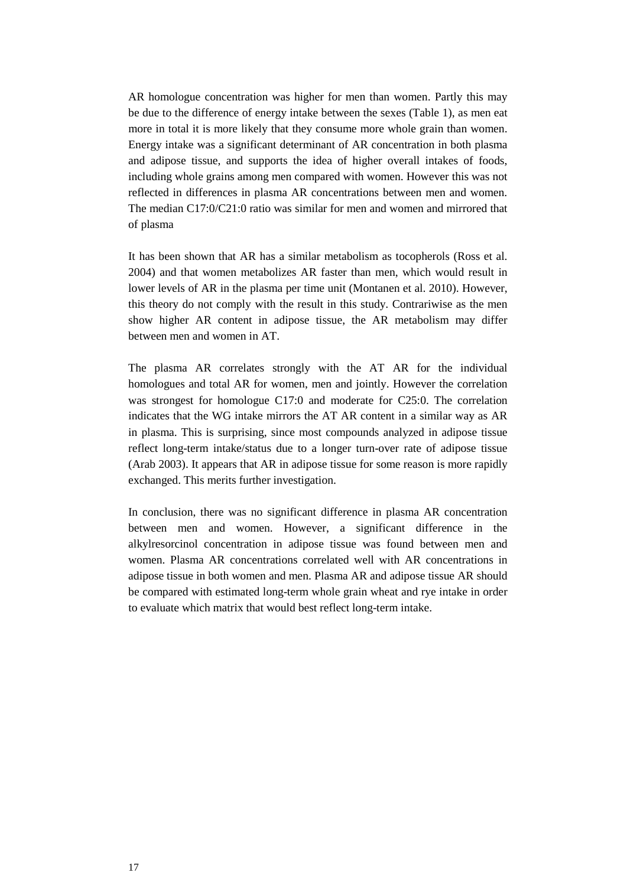AR homologue concentration was higher for men than women. Partly this may be due to the difference of energy intake between the sexes (Table 1), as men eat more in total it is more likely that they consume more whole grain than women. Energy intake was a significant determinant of AR concentration in both plasma and adipose tissue, and supports the idea of higher overall intakes of foods, including whole grains among men compared with women. However this was not reflected in differences in plasma AR concentrations between men and women. The median C17:0/C21:0 ratio was similar for men and women and mirrored that of plasma

It has been shown that AR has a similar metabolism as tocopherols (Ross et al. 2004) and that women metabolizes AR faster than men, which would result in lower levels of AR in the plasma per time unit (Montanen et al. 2010). However, this theory do not comply with the result in this study. Contrariwise as the men show higher AR content in adipose tissue, the AR metabolism may differ between men and women in AT.

The plasma AR correlates strongly with the AT AR for the individual homologues and total AR for women, men and jointly. However the correlation was strongest for homologue C17:0 and moderate for C25:0. The correlation indicates that the WG intake mirrors the AT AR content in a similar way as AR in plasma. This is surprising, since most compounds analyzed in adipose tissue reflect long-term intake/status due to a longer turn-over rate of adipose tissue (Arab 2003). It appears that AR in adipose tissue for some reason is more rapidly exchanged. This merits further investigation.

In conclusion, there was no significant difference in plasma AR concentration between men and women. However, a significant difference in the alkylresorcinol concentration in adipose tissue was found between men and women. Plasma AR concentrations correlated well with AR concentrations in adipose tissue in both women and men. Plasma AR and adipose tissue AR should be compared with estimated long-term whole grain wheat and rye intake in order to evaluate which matrix that would best reflect long-term intake.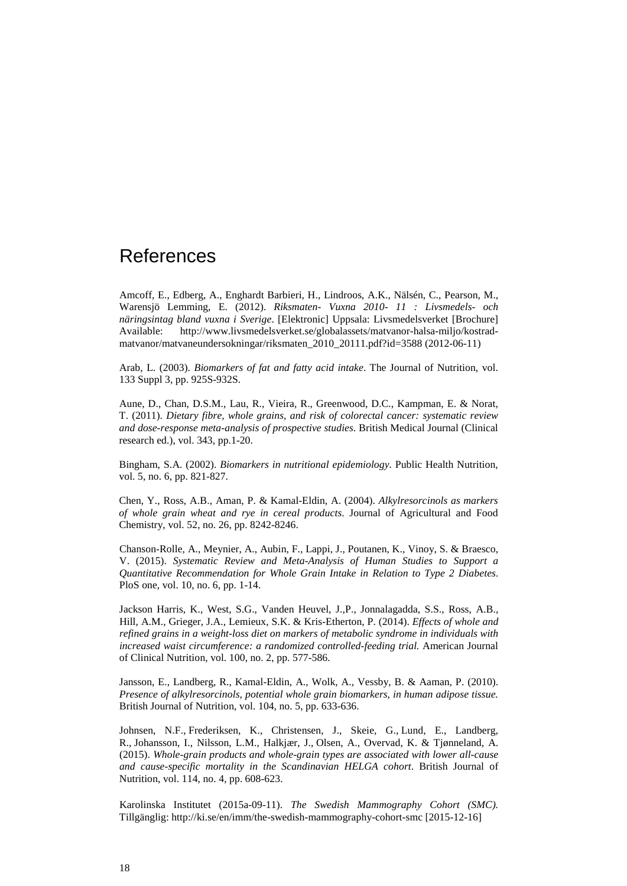### <span id="page-17-0"></span>References

Amcoff, E., Edberg, A., Enghardt Barbieri, H., Lindroos, A.K., Nälsén, C., Pearson, M., Warensjö Lemming, E. (2012). *Riksmaten- Vuxna 2010- 11 : Livsmedels- och näringsintag bland vuxna i Sverige*. [Elektronic] Uppsala: Livsmedelsverket [Brochure] Available: http://www.livsmedelsverket.se/globalassets/matvanor-halsa-miljo/kostradmatvanor/matvaneundersokningar/riksmaten\_2010\_20111.pdf?id=3588 (2012-06-11)

Arab, L. (2003). *Biomarkers of fat and fatty acid intake*. The Journal of Nutrition, vol. 133 Suppl 3, pp. 925S-932S.

Aune, D., Chan, D.S.M., Lau, R., Vieira, R., Greenwood, D.C., Kampman, E. & Norat, T. (2011). *Dietary fibre, whole grains, and risk of colorectal cancer: systematic review and dose-response meta-analysis of prospective studies*. British Medical Journal (Clinical research ed.), vol. 343, pp.1-20.

Bingham, S.A. (2002). *Biomarkers in nutritional epidemiology.* Public Health Nutrition, vol. 5, no. 6, pp. 821-827.

Chen, Y., Ross, A.B., Aman, P. & Kamal-Eldin, A. (2004). *Alkylresorcinols as markers of whole grain wheat and rye in cereal products*. Journal of Agricultural and Food Chemistry, vol. 52, no. 26, pp. 8242-8246.

Chanson-Rolle, A., Meynier, A., Aubin, F., Lappi, J., Poutanen, K., Vinoy, S. & Braesco, V. (2015). *Systematic Review and Meta-Analysis of Human Studies to Support a Quantitative Recommendation for Whole Grain Intake in Relation to Type 2 Diabetes*. PloS one, vol. 10, no. 6, pp. 1-14.

Jackson Harris, K., West, S.G., Vanden Heuvel, J.,P., Jonnalagadda, S.S., Ross, A.B., Hill, A.M., Grieger, J.A., Lemieux, S.K. & Kris-Etherton, P. (2014). *Effects of whole and refined grains in a weight-loss diet on markers of metabolic syndrome in individuals with increased waist circumference: a randomized controlled-feeding trial.* American Journal of Clinical Nutrition, vol. 100, no. 2, pp. 577-586.

Jansson, E., Landberg, R., Kamal-Eldin, A., Wolk, A., Vessby, B. & Aaman, P. (2010). *Presence of alkylresorcinols, potential whole grain biomarkers, in human adipose tissue.* British Journal of Nutrition, vol. 104, no. 5, pp. 633-636.

Johnsen, N.F., Frederiksen, K., Christensen, J., Skeie, G., Lund, E., Landberg, R., Johansson, I., Nilsson, L.M., Halkjær, J., Olsen, A., Overvad, K. & Tjønneland, A. (2015). *Whole-grain products and whole-grain types are associated with lower all-cause and cause-specific mortality in the Scandinavian HELGA cohort*. British Journal of Nutrition, vol. 114, no. 4, pp. 608-623.

Karolinska Institutet (2015a-09-11). *The Swedish Mammography Cohort (SMC).* Tillgänglig: http://ki.se/en/imm/the-swedish-mammography-cohort-smc [2015-12-16]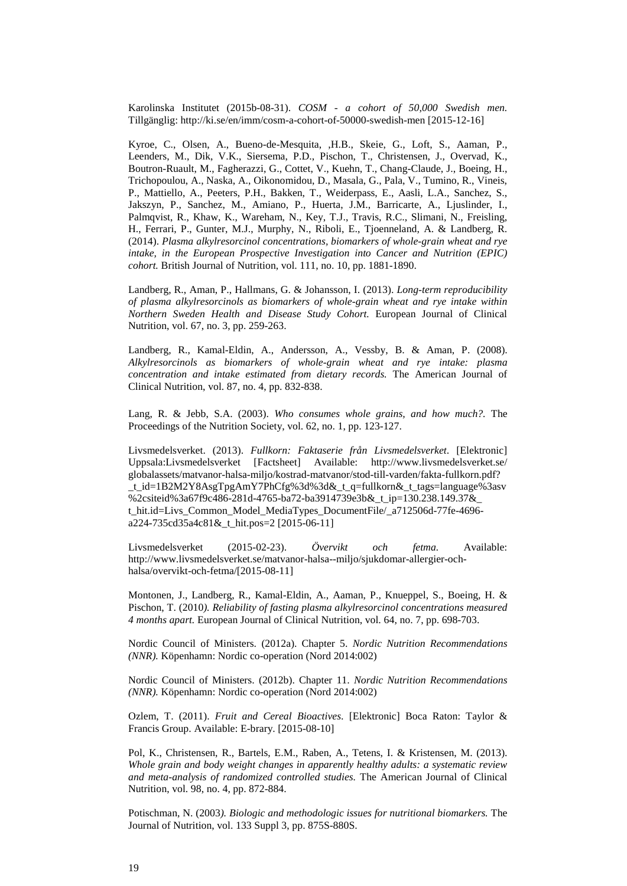Karolinska Institutet (2015b-08-31). *COSM - a cohort of 50,000 Swedish men.* Tillgänglig: http://ki.se/en/imm/cosm-a-cohort-of-50000-swedish-men [2015-12-16]

Kyroe, C., Olsen, A., Bueno-de-Mesquita, ,H.B., Skeie, G., Loft, S., Aaman, P., Leenders, M., Dik, V.K., Siersema, P.D., Pischon, T., Christensen, J., Overvad, K., Boutron-Ruault, M., Fagherazzi, G., Cottet, V., Kuehn, T., Chang-Claude, J., Boeing, H., Trichopoulou, A., Naska, A., Oikonomidou, D., Masala, G., Pala, V., Tumino, R., Vineis, P., Mattiello, A., Peeters, P.H., Bakken, T., Weiderpass, E., Aasli, L.A., Sanchez, S., Jakszyn, P., Sanchez, M., Amiano, P., Huerta, J.M., Barricarte, A., Ljuslinder, I., Palmqvist, R., Khaw, K., Wareham, N., Key, T.J., Travis, R.C., Slimani, N., Freisling, H., Ferrari, P., Gunter, M.J., Murphy, N., Riboli, E., Tjoenneland, A. & Landberg, R. (2014). *Plasma alkylresorcinol concentrations, biomarkers of whole-grain wheat and rye intake, in the European Prospective Investigation into Cancer and Nutrition (EPIC) cohort.* British Journal of Nutrition, vol. 111, no. 10, pp. 1881-1890.

Landberg, R., Aman, P., Hallmans, G. & Johansson, I. (2013). *Long-term reproducibility of plasma alkylresorcinols as biomarkers of whole-grain wheat and rye intake within Northern Sweden Health and Disease Study Cohort.* European Journal of Clinical Nutrition, vol. 67, no. 3, pp. 259-263.

Landberg, R., Kamal-Eldin, A., Andersson, A., Vessby, B. & Aman, P. (2008). *Alkylresorcinols as biomarkers of whole-grain wheat and rye intake: plasma concentration and intake estimated from dietary records.* The American Journal of Clinical Nutrition, vol. 87, no. 4, pp. 832-838.

Lang, R. & Jebb, S.A. (2003). *Who consumes whole grains, and how much?.* The Proceedings of the Nutrition Society, vol. 62, no. 1, pp. 123-127.

Livsmedelsverket. (2013). *Fullkorn: Faktaserie från Livsmedelsverket*. [Elektronic] Uppsala:Livsmedelsverket [Factsheet] Available: http://www.livsmedelsverket.se/ globalassets/matvanor-halsa-miljo/kostrad-matvanor/stod-till-varden/fakta-fullkorn.pdf? \_t\_id=1B2M2Y8AsgTpgAmY7PhCfg%3d%3d&\_t\_q=fullkorn&\_t\_tags=language%3asv %2csiteid%3a67f9c486-281d-4765-ba72-ba3914739e3b&\_t\_ip=130.238.149.37&\_ t\_hit.id=Livs\_Common\_Model\_MediaTypes\_DocumentFile/\_a712506d-77fe-4696 a224-735cd35a4c81&\_t\_hit.pos=2 [2015-06-11]

Livsmedelsverket (2015-02-23). *Övervikt och fetma.* Available: http://www.livsmedelsverket.se/matvanor-halsa--miljo/sjukdomar-allergier-ochhalsa/overvikt-och-fetma/[2015-08-11]

Montonen, J., Landberg, R., Kamal-Eldin, A., Aaman, P., Knueppel, S., Boeing, H. & Pischon, T. (2010*). Reliability of fasting plasma alkylresorcinol concentrations measured 4 months apart.* European Journal of Clinical Nutrition, vol. 64, no. 7, pp. 698-703.

Nordic Council of Ministers. (2012a). Chapter 5. *Nordic Nutrition [Recommendations](http://www.apple.com/se) [\(NNR\).](http://www.apple.com/se)* Köpenhamn: Nordic co-operation (Nord 2014:002)

Nordic Council of Ministers. (2012b). Chapter 11. *Nordic Nutrition [Recommendations](http://www.apple.com/se) [\(NNR\).](http://www.apple.com/se)* Köpenhamn: Nordic co-operation (Nord 2014:002)

Ozlem, T. (2011). *Fruit and Cereal Bioactives*. [Elektronic] Boca Raton: Taylor & Francis Group. Available: E-brary. [2015-08-10]

Pol, K., Christensen, R., Bartels, E.M., Raben, A., Tetens, I. & Kristensen, M. (2013). *Whole grain and body weight changes in apparently healthy adults: a systematic review and meta-analysis of randomized controlled studies.* The American Journal of Clinical Nutrition, vol. 98, no. 4, pp. 872-884.

Potischman, N. (2003*). Biologic and methodologic issues for nutritional biomarkers.* The Journal of Nutrition, vol. 133 Suppl 3, pp. 875S-880S.